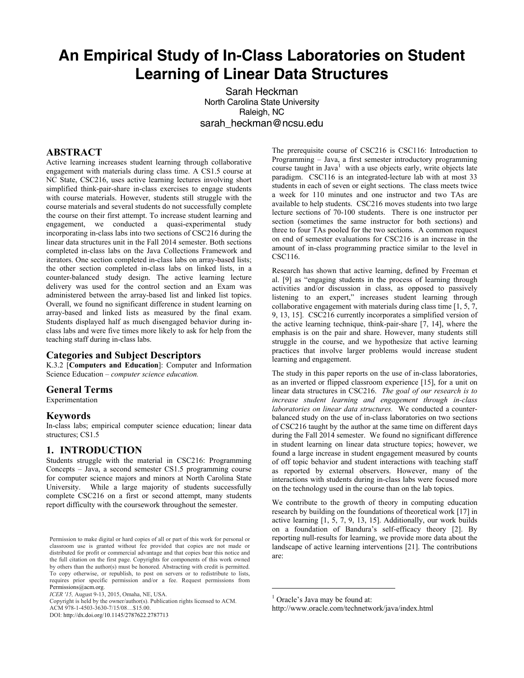# **An Empirical Study of In-Class Laboratories on Student Learning of Linear Data Structures**

Sarah Heckman North Carolina State University Raleigh, NC sarah heckman@ncsu.edu

# **ABSTRACT**

Active learning increases student learning through collaborative engagement with materials during class time. A CS1.5 course at NC State, CSC216, uses active learning lectures involving short simplified think-pair-share in-class exercises to engage students with course materials. However, students still struggle with the course materials and several students do not successfully complete the course on their first attempt. To increase student learning and engagement, we conducted a quasi-experimental study incorporating in-class labs into two sections of CSC216 during the linear data structures unit in the Fall 2014 semester. Both sections completed in-class labs on the Java Collections Framework and iterators. One section completed in-class labs on array-based lists; the other section completed in-class labs on linked lists, in a counter-balanced study design. The active learning lecture delivery was used for the control section and an Exam was administered between the array-based list and linked list topics. Overall, we found no significant difference in student learning on array-based and linked lists as measured by the final exam. Students displayed half as much disengaged behavior during inclass labs and were five times more likely to ask for help from the teaching staff during in-class labs.

#### **Categories and Subject Descriptors**

K.3.2 [**Computers and Education**]: Computer and Information Science Education – *computer science education.* 

#### **General Terms**

Experimentation

#### **Keywords**

In-class labs; empirical computer science education; linear data structures; CS1.5

## **1. INTRODUCTION**

Students struggle with the material in CSC216: Programming Concepts – Java, a second semester CS1.5 programming course for computer science majors and minors at North Carolina State University. While a large majority of students successfully complete CSC216 on a first or second attempt, many students report difficulty with the coursework throughout the semester.

ACM 978-1-4503-3630-7/15/08…\$15.00.

DOI: http://dx.doi.org/10.1145/2787622.2787713

The prerequisite course of CSC216 is CSC116: Introduction to Programming – Java, a first semester introductory programming course taught in Java<sup>1</sup> with a use objects early, write objects late paradigm. CSC116 is an integrated-lecture lab with at most 33 students in each of seven or eight sections. The class meets twice a week for 110 minutes and one instructor and two TAs are available to help students. CSC216 moves students into two large lecture sections of 70-100 students. There is one instructor per section (sometimes the same instructor for both sections) and three to four TAs pooled for the two sections. A common request on end of semester evaluations for CSC216 is an increase in the amount of in-class programming practice similar to the level in CSC116.

Research has shown that active learning, defined by Freeman et al. [9] as "engaging students in the process of learning through activities and/or discussion in class, as opposed to passively listening to an expert," increases student learning through collaborative engagement with materials during class time [1, 5, 7, 9, 13, 15]. CSC216 currently incorporates a simplified version of the active learning technique, think-pair-share [7, 14], where the emphasis is on the pair and share. However, many students still struggle in the course, and we hypothesize that active learning practices that involve larger problems would increase student learning and engagement.

The study in this paper reports on the use of in-class laboratories, as an inverted or flipped classroom experience [15], for a unit on linear data structures in CSC216. *The goal of our research is to increase student learning and engagement through in-class laboratories on linear data structures.* We conducted a counterbalanced study on the use of in-class laboratories on two sections of CSC216 taught by the author at the same time on different days during the Fall 2014 semester. We found no significant difference in student learning on linear data structure topics; however, we found a large increase in student engagement measured by counts of off topic behavior and student interactions with teaching staff as reported by external observers. However, many of the interactions with students during in-class labs were focused more on the technology used in the course than on the lab topics.

We contribute to the growth of theory in computing education research by building on the foundations of theoretical work [17] in active learning [1, 5, 7, 9, 13, 15]. Additionally, our work builds on a foundation of Bandura's self-efficacy theory [2]. By reporting null-results for learning, we provide more data about the landscape of active learning interventions [21]. The contributions are:

1

Permission to make digital or hard copies of all or part of this work for personal or classroom use is granted without fee provided that copies are not made or distributed for profit or commercial advantage and that copies bear this notice and the full citation on the first page. Copyrights for components of this work owned by others than the author(s) must be honored. Abstracting with credit is permitted. To copy otherwise, or republish, to post on servers or to redistribute to lists, requires prior specific permission and/or a fee. Request permissions from Permissions@acm.org.

*ICER '15,* August 9-13, 2015, Omaha, NE, USA.

Copyright is held by the owner/author(s). Publication rights licensed to ACM.

<sup>&</sup>lt;sup>1</sup> Oracle's Java may be found at:

http://www.oracle.com/technetwork/java/index.html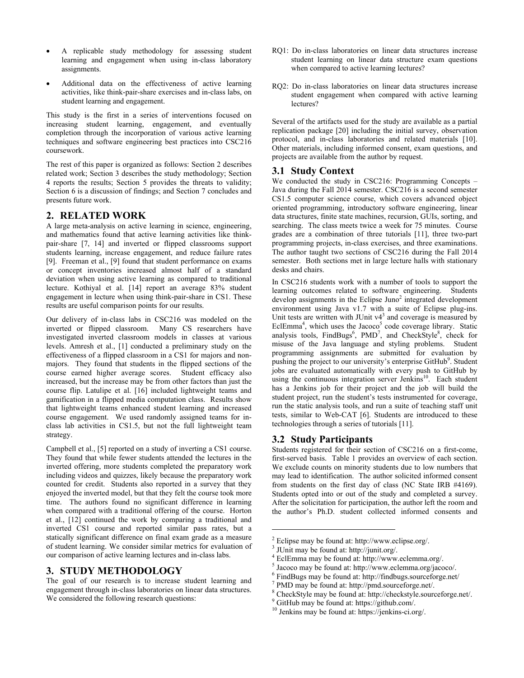- A replicable study methodology for assessing student learning and engagement when using in-class laboratory assignments.
- Additional data on the effectiveness of active learning activities, like think-pair-share exercises and in-class labs, on student learning and engagement.

This study is the first in a series of interventions focused on increasing student learning, engagement, and eventually completion through the incorporation of various active learning techniques and software engineering best practices into CSC216 coursework.

The rest of this paper is organized as follows: Section 2 describes related work; Section 3 describes the study methodology; Section 4 reports the results; Section 5 provides the threats to validity; Section 6 is a discussion of findings; and Section 7 concludes and presents future work.

#### **2. RELATED WORK**

A large meta-analysis on active learning in science, engineering, and mathematics found that active learning activities like thinkpair-share [7, 14] and inverted or flipped classrooms support students learning, increase engagement, and reduce failure rates [9]. Freeman et al., [9] found that student performance on exams or concept inventories increased almost half of a standard deviation when using active learning as compared to traditional lecture. Kothiyal et al. [14] report an average 83% student engagement in lecture when using think-pair-share in CS1. These results are useful comparison points for our results.

Our delivery of in-class labs in CSC216 was modeled on the inverted or flipped classroom. Many CS researchers have investigated inverted classroom models in classes at various levels. Amresh et al., [1] conducted a preliminary study on the effectiveness of a flipped classroom in a CS1 for majors and nonmajors. They found that students in the flipped sections of the course earned higher average scores. Student efficacy also increased, but the increase may be from other factors than just the course flip. Latulipe et al. [16] included lightweight teams and gamification in a flipped media computation class. Results show that lightweight teams enhanced student learning and increased course engagement. We used randomly assigned teams for inclass lab activities in CS1.5, but not the full lightweight team strategy.

Campbell et al., [5] reported on a study of inverting a CS1 course. They found that while fewer students attended the lectures in the inverted offering, more students completed the preparatory work including videos and quizzes, likely because the preparatory work counted for credit. Students also reported in a survey that they enjoyed the inverted model, but that they felt the course took more time. The authors found no significant difference in learning when compared with a traditional offering of the course. Horton et al., [12] continued the work by comparing a traditional and inverted CS1 course and reported similar pass rates, but a statically significant difference on final exam grade as a measure of student learning. We consider similar metrics for evaluation of our comparison of active learning lectures and in-class labs.

## **3. STUDY METHODOLOGY**

The goal of our research is to increase student learning and engagement through in-class laboratories on linear data structures. We considered the following research questions:

- RQ1: Do in-class laboratories on linear data structures increase student learning on linear data structure exam questions when compared to active learning lectures?
- RQ2: Do in-class laboratories on linear data structures increase student engagement when compared with active learning lectures?

Several of the artifacts used for the study are available as a partial replication package [20] including the initial survey, observation protocol, and in-class laboratories and related materials [10]. Other materials, including informed consent, exam questions, and projects are available from the author by request.

#### **3.1 Study Context**

We conducted the study in CSC216: Programming Concepts – Java during the Fall 2014 semester. CSC216 is a second semester CS1.5 computer science course, which covers advanced object oriented programming, introductory software engineering, linear data structures, finite state machines, recursion, GUIs, sorting, and searching. The class meets twice a week for 75 minutes. Course grades are a combination of three tutorials [11], three two-part programming projects, in-class exercises, and three examinations. The author taught two sections of CSC216 during the Fall 2014 semester. Both sections met in large lecture halls with stationary desks and chairs.

In CSC216 students work with a number of tools to support the learning outcomes related to software engineering. Students develop assignments in the Eclipse Juno<sup>2</sup> integrated development environment using Java v1.7 with a suite of Eclipse plug-ins. Unit tests are written with JUnit  $v4^3$  and coverage is measured by EclEmma<sup>4</sup>, which uses the Jacoco<sup>5</sup> code coverage library. Static analysis tools, FindBugs<sup>6</sup>, PMD<sup>7</sup>, and CheckStyle<sup>8</sup>, check for misuse of the Java language and styling problems. Student programming assignments are submitted for evaluation by pushing the project to our university's enterprise GitHub<sup>9</sup>. Student jobs are evaluated automatically with every push to GitHub by using the continuous integration server Jenkins<sup>10</sup>. Each student has a Jenkins job for their project and the job will build the student project, run the student's tests instrumented for coverage, run the static analysis tools, and run a suite of teaching staff unit tests, similar to Web-CAT [6]. Students are introduced to these technologies through a series of tutorials [11].

## **3.2 Study Participants**

Students registered for their section of CSC216 on a first-come, first-served basis. Table 1 provides an overview of each section. We exclude counts on minority students due to low numbers that may lead to identification. The author solicited informed consent from students on the first day of class (NC State IRB #4169). Students opted into or out of the study and completed a survey. After the solicitation for participation, the author left the room and the author's Ph.D. student collected informed consents and

1

<sup>&</sup>lt;sup>2</sup> Eclipse may be found at: http://www.eclipse.org/.<br> $3 \text{ H}$  Init may be found at: http://junit.org/

 $3$  JUnit may be found at: http://junit.org/.

EclEmma may be found at: http://www.eclemma.org/. 5

 $<sup>5</sup>$  Jacoco may be found at: http://www.eclemma.org/jacoco/.</sup>

FindBugs may be found at: http://findbugs.sourceforge.net/

 $^7$  PMD may be found at: http://pmd.sourceforge.net/.<br> $^8$  CheckStyle may be found at: http://oboekstyle.source

 $^8$  CheckStyle may be found at: http://checkstyle.sourceforge.net/.<br> $^9$  GitHub may be found at: https://github.com/.

 $^{10}$  Jenkins may be found at: https://jenkins-ci.org/.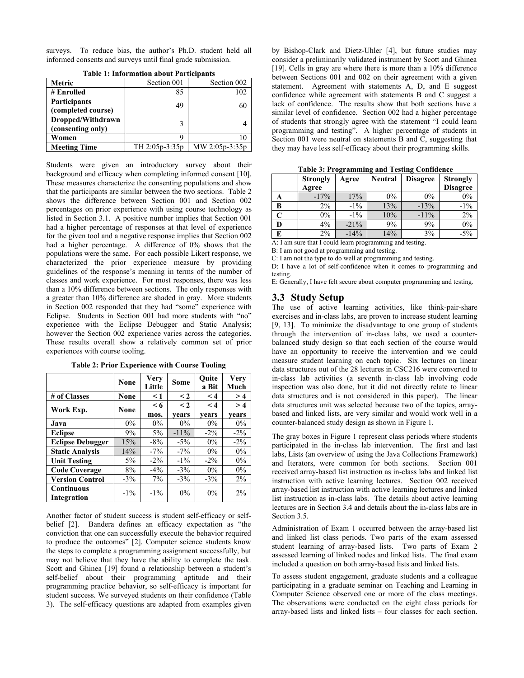surveys. To reduce bias, the author's Ph.D. student held all informed consents and surveys until final grade submission.

| Metric                                    | Section 001    | Section 002    |
|-------------------------------------------|----------------|----------------|
| # Enrolled                                | 85             | 102            |
| <b>Participants</b><br>(completed course) | 49             | 60             |
| Dropped/Withdrawn<br>(consenting only)    |                |                |
| Women                                     |                | 10             |
| <b>Meeting Time</b>                       | TH 2:05p-3:35p | MW 2:05p-3:35p |

**Table 1: Information about Participants** 

Students were given an introductory survey about their background and efficacy when completing informed consent [10]. These measures characterize the consenting populations and show that the participants are similar between the two sections. Table 2 shows the difference between Section 001 and Section 002 percentages on prior experience with using course technology as listed in Section 3.1. A positive number implies that Section 001 had a higher percentage of responses at that level of experience for the given tool and a negative response implies that Section 002 had a higher percentage. A difference of 0% shows that the populations were the same. For each possible Likert response, we characterized the prior experience measure by providing guidelines of the response's meaning in terms of the number of classes and work experience. For most responses, there was less than a 10% difference between sections. The only responses with a greater than 10% difference are shaded in gray. More students in Section 002 responded that they had "some" experience with Eclipse. Students in Section 001 had more students with "no" experience with the Eclipse Debugger and Static Analysis; however the Section 002 experience varies across the categories. These results overall show a relatively common set of prior experiences with course tooling.

|                                  | <b>None</b> | <b>Very</b><br>Little | Some     | Ouite<br>a Bit | <b>Very</b><br>Much |
|----------------------------------|-------------|-----------------------|----------|----------------|---------------------|
| # of Classes                     | <b>None</b> | $\leq 1$              | $\leq$ 2 | $\leq 4$       | >4                  |
| Work Exp.                        | None        | $\leq 6$              | $\leq$ 2 | $\leq 4$       | >4                  |
|                                  |             | mos.                  | vears    | vears          | vears               |
| Java                             | $0\%$       | $0\%$                 | $0\%$    | $0\%$          | 0%                  |
| <b>Eclipse</b>                   | 9%          | $5\%$                 | $-11\%$  | $-2\%$         | $-2\%$              |
| <b>Eclipse Debugger</b>          | 15%         | $-8\%$                | $-5\%$   | $0\%$          | $-2\%$              |
| <b>Static Analysis</b>           | 14%         | $-7\%$                | $-7\%$   | $0\%$          | $0\%$               |
| <b>Unit Testing</b>              | 5%          | $-2\%$                | $-1\%$   | $-2\%$         | $0\%$               |
| <b>Code Coverage</b>             | 8%          | $-4\%$                | $-3\%$   | $0\%$          | $0\%$               |
| <b>Version Control</b>           | $-3\%$      | 7%                    | $-3\%$   | $-3\%$         | $2\%$               |
| <b>Continuous</b><br>Integration | $-1\%$      | $-1\%$                | $0\%$    | $0\%$          | 2%                  |

**Table 2: Prior Experience with Course Tooling** 

Another factor of student success is student self-efficacy or selfbelief [2]. Bandera defines an efficacy expectation as "the conviction that one can successfully execute the behavior required to produce the outcomes" [2]. Computer science students know the steps to complete a programming assignment successfully, but may not believe that they have the ability to complete the task. Scott and Ghinea [19] found a relationship between a student's self-belief about their programming aptitude and their programming practice behavior, so self-efficacy is important for student success. We surveyed students on their confidence (Table 3). The self-efficacy questions are adapted from examples given

by Bishop-Clark and Dietz-Uhler [4], but future studies may consider a preliminarily validated instrument by Scott and Ghinea [19]. Cells in gray are where there is more than a 10% difference between Sections 001 and 002 on their agreement with a given statement. Agreement with statements A, D, and E suggest confidence while agreement with statements B and C suggest a lack of confidence. The results show that both sections have a similar level of confidence. Section 002 had a higher percentage of students that strongly agree with the statement "I could learn programming and testing". A higher percentage of students in Section 001 were neutral on statements B and C, suggesting that they may have less self-efficacy about their programming skills.

|   | <b>Strongly</b><br>Agree | Agree  | Neutral | <b>Disagree</b> | <b>Strongly</b><br><b>Disagree</b> |
|---|--------------------------|--------|---------|-----------------|------------------------------------|
| A | $-17%$                   | 17%    | $0\%$   | $0\%$           | 0%                                 |
| B | 2%                       | $-1\%$ | 13%     | $-13%$          | $-1\%$                             |
| C | $0\%$                    | $-1\%$ | 10%     | $-11%$          | 2%                                 |
| D | 4%                       | $-21%$ | 9%      | 9%              | 0%                                 |
| E | 2%                       | $-14%$ | 14%     | 3%              | $-5%$                              |

 **Table 3: Programming and Testing Confidence** 

A: I am sure that I could learn programming and testing.

B: I am not good at programming and testing.

C: I am not the type to do well at programming and testing.

D: I have a lot of self-confidence when it comes to programming and testing.

E: Generally, I have felt secure about computer programming and testing.

#### **3.3 Study Setup**

The use of active learning activities, like think-pair-share exercises and in-class labs, are proven to increase student learning [9, 13]. To minimize the disadvantage to one group of students through the intervention of in-class labs, we used a counterbalanced study design so that each section of the course would have an opportunity to receive the intervention and we could measure student learning on each topic. Six lectures on linear data structures out of the 28 lectures in CSC216 were converted to in-class lab activities (a seventh in-class lab involving code inspection was also done, but it did not directly relate to linear data structures and is not considered in this paper). The linear data structures unit was selected because two of the topics, arraybased and linked lists, are very similar and would work well in a counter-balanced study design as shown in Figure 1.

The gray boxes in Figure 1 represent class periods where students participated in the in-class lab intervention. The first and last labs, Lists (an overview of using the Java Collections Framework) and Iterators, were common for both sections. Section 001 received array-based list instruction as in-class labs and linked list instruction with active learning lectures. Section 002 received array-based list instruction with active learning lectures and linked list instruction as in-class labs. The details about active learning lectures are in Section 3.4 and details about the in-class labs are in Section 3.5.

Administration of Exam 1 occurred between the array-based list and linked list class periods. Two parts of the exam assessed student learning of array-based lists. Two parts of Exam 2 assessed learning of linked nodes and linked lists. The final exam included a question on both array-based lists and linked lists.

To assess student engagement, graduate students and a colleague participating in a graduate seminar on Teaching and Learning in Computer Science observed one or more of the class meetings. The observations were conducted on the eight class periods for array-based lists and linked lists – four classes for each section.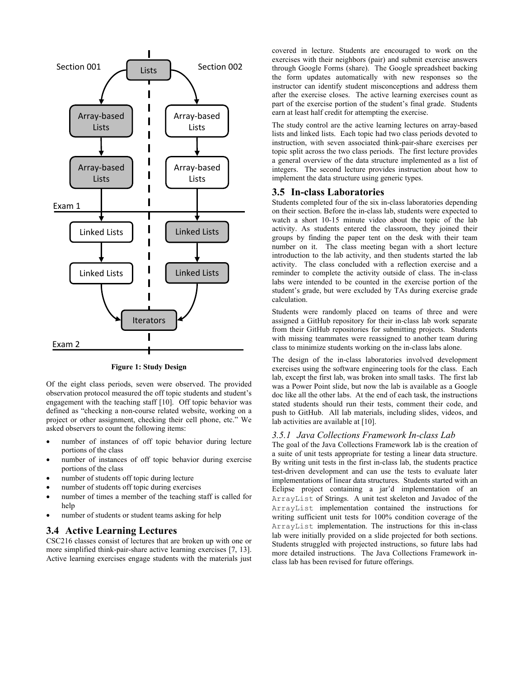

**Figure 1: Study Design** 

Of the eight class periods, seven were observed. The provided observation protocol measured the off topic students and student's engagement with the teaching staff [10]. Off topic behavior was defined as "checking a non-course related website, working on a project or other assignment, checking their cell phone, etc." We asked observers to count the following items:

- number of instances of off topic behavior during lecture portions of the class
- number of instances of off topic behavior during exercise portions of the class
- number of students off topic during lecture
- number of students off topic during exercises
- number of times a member of the teaching staff is called for help
- number of students or student teams asking for help

## **3.4 Active Learning Lectures**

CSC216 classes consist of lectures that are broken up with one or more simplified think-pair-share active learning exercises [7, 13]. Active learning exercises engage students with the materials just covered in lecture. Students are encouraged to work on the exercises with their neighbors (pair) and submit exercise answers through Google Forms (share). The Google spreadsheet backing the form updates automatically with new responses so the instructor can identify student misconceptions and address them after the exercise closes. The active learning exercises count as part of the exercise portion of the student's final grade. Students earn at least half credit for attempting the exercise.

The study control are the active learning lectures on array-based lists and linked lists. Each topic had two class periods devoted to instruction, with seven associated think-pair-share exercises per topic split across the two class periods. The first lecture provides a general overview of the data structure implemented as a list of integers. The second lecture provides instruction about how to implement the data structure using generic types.

#### **3.5 In-class Laboratories**

Students completed four of the six in-class laboratories depending on their section. Before the in-class lab, students were expected to watch a short 10-15 minute video about the topic of the lab activity. As students entered the classroom, they joined their groups by finding the paper tent on the desk with their team number on it. The class meeting began with a short lecture introduction to the lab activity, and then students started the lab activity. The class concluded with a reflection exercise and a reminder to complete the activity outside of class. The in-class labs were intended to be counted in the exercise portion of the student's grade, but were excluded by TAs during exercise grade calculation.

Students were randomly placed on teams of three and were assigned a GitHub repository for their in-class lab work separate from their GitHub repositories for submitting projects. Students with missing teammates were reassigned to another team during class to minimize students working on the in-class labs alone.

The design of the in-class laboratories involved development exercises using the software engineering tools for the class. Each lab, except the first lab, was broken into small tasks. The first lab was a Power Point slide, but now the lab is available as a Google doc like all the other labs. At the end of each task, the instructions stated students should run their tests, comment their code, and push to GitHub. All lab materials, including slides, videos, and lab activities are available at [10].

#### *3.5.1 Java Collections Framework In-class Lab*

The goal of the Java Collections Framework lab is the creation of a suite of unit tests appropriate for testing a linear data structure. By writing unit tests in the first in-class lab, the students practice test-driven development and can use the tests to evaluate later implementations of linear data structures. Students started with an Eclipse project containing a jar'd implementation of an ArrayList of Strings. A unit test skeleton and Javadoc of the ArrayList implementation contained the instructions for writing sufficient unit tests for 100% condition coverage of the ArrayList implementation. The instructions for this in-class lab were initially provided on a slide projected for both sections. Students struggled with projected instructions, so future labs had more detailed instructions. The Java Collections Framework inclass lab has been revised for future offerings.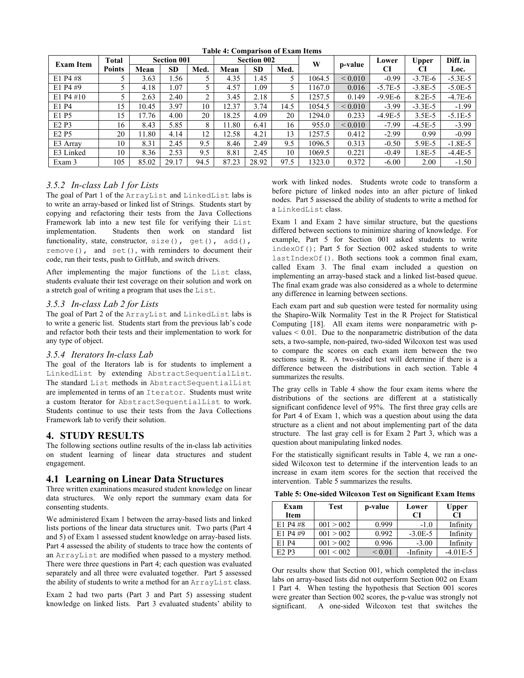| <b>Exam Item</b>              | <b>Total</b>  |       | <b>Section 001</b> |      |       | <b>Section 002</b> |      | W      | p-value           | Lower     | Upper      | Diff. in  |
|-------------------------------|---------------|-------|--------------------|------|-------|--------------------|------|--------|-------------------|-----------|------------|-----------|
|                               | <b>Points</b> | Mean  | <b>SD</b>          | Med. | Mean  | <b>SD</b>          | Med. |        |                   | CI        | CI         | Loc.      |
| $E1$ P4 $#8$                  |               | 3.63  | .56                |      | 4.35  | 1.45               |      | 1064.5 | ${}_{0.010}$      | $-0.99$   | $-3.7E-6$  | $-5.3E-5$ |
| E1P4#9                        |               | 4.18  | .07                |      | 4.57  | .09                |      | 1167.0 | 0.016             | $-5.7E-5$ | $-3.8E-5$  | $-5.0E-5$ |
| E1P4#10                       |               | 2.63  | 2.40               |      | 3.45  | 2.18               |      | 1257.5 | 0.149             | $-9.9E-6$ | $8.2E - 5$ | $-4.7E-6$ |
| E1 P4                         | 15            | 10.45 | 3.97               | 10   | 12.37 | 3.74               | 14.5 | 1054.5 | ${}_{\leq 0.010}$ | $-3.99$   | $-3.3E-5$  | $-1.99$   |
| E1 P5                         | 15            | 17.76 | 4.00               | 20   | 18.25 | 4.09               | 20   | 1294.0 | 0.233             | $-4.9E-5$ | $3.5E-5$   | $-5.1E-5$ |
| E2P3                          | 16            | 8.43  | 5.85               | 8    | 11.80 | 6.41               | 16   | 955.0  | ${}_{\leq 0.010}$ | $-7.99$   | $-4.5E-5$  | $-3.99$   |
| E <sub>2</sub> P <sub>5</sub> | 20            | 11.80 | 4.14               | 12   | 12.58 | 4.21               | 13   | 1257.5 | 0.412             | $-2.99$   | 0.99       | $-0.99$   |
| E3 Array                      | 10            | 8.31  | 2.45               | 9.5  | 8.46  | 2.49               | 9.5  | 1096.5 | 0.313             | $-0.50$   | 5.9E-5     | $-1.8E-5$ |
| E3 Linked                     | 10            | 8.36  | 2.53               | 9.5  | 8.81  | 2.45               | 10   | 1069.5 | 0.221             | $-0.49$   | 1.8E-5     | $-4.4E-5$ |
| Exam 3                        | 105           | 85.02 | 29.17              | 94.5 | 87.23 | 28.92              | 97.5 | 1323.0 | 0.372             | $-6.00$   | 2.00       | $-1.50$   |

**Table 4: Comparison of Exam Items** 

## *3.5.2 In-class Lab 1 for Lists*

The goal of Part 1 of the ArrayList and LinkedList labs is to write an array-based or linked list of Strings. Students start by copying and refactoring their tests from the Java Collections Framework lab into a new test file for verifying their List<br>implementation. Students then work on standard list Students then work on standard list functionality, state, constructor, size(), get(), add(), remove(), and set(), with reminders to document their code, run their tests, push to GitHub, and switch drivers.

After implementing the major functions of the List class, students evaluate their test coverage on their solution and work on a stretch goal of writing a program that uses the List.

#### *3.5.3 In-class Lab 2 for Lists*

The goal of Part 2 of the ArrayList and LinkedList labs is to write a generic list. Students start from the previous lab's code and refactor both their tests and their implementation to work for any type of object.

#### *3.5.4 Iterators In-class Lab*

The goal of the Iterators lab is for students to implement a LinkedList by extending AbstractSequentialList. The standard List methods in AbstractSequentialList are implemented in terms of an Iterator. Students must write a custom Iterator for AbstractSequentialList to work. Students continue to use their tests from the Java Collections Framework lab to verify their solution.

## **4. STUDY RESULTS**

The following sections outline results of the in-class lab activities on student learning of linear data structures and student engagement.

#### **4.1 Learning on Linear Data Structures**

Three written examinations measured student knowledge on linear data structures. We only report the summary exam data for consenting students.

We administered Exam 1 between the array-based lists and linked lists portions of the linear data structures unit. Two parts (Part 4 and 5) of Exam 1 assessed student knowledge on array-based lists. Part 4 assessed the ability of students to trace how the contents of an ArrayList are modified when passed to a mystery method. There were three questions in Part 4; each question was evaluated separately and all three were evaluated together. Part 5 assessed the ability of students to write a method for an ArrayList class.

Exam 2 had two parts (Part 3 and Part 5) assessing student knowledge on linked lists. Part 3 evaluated students' ability to

work with linked nodes. Students wrote code to transform a before picture of linked nodes into an after picture of linked nodes. Part 5 assessed the ability of students to write a method for a LinkedList class.

Exam 1 and Exam 2 have similar structure, but the questions differed between sections to minimize sharing of knowledge. For example, Part 5 for Section 001 asked students to write indexOf(); Part 5 for Section 002 asked students to write lastIndexOf(). Both sections took a common final exam, called Exam 3. The final exam included a question on implementing an array-based stack and a linked list-based queue. The final exam grade was also considered as a whole to determine any difference in learning between sections.

Each exam part and sub question were tested for normality using the Shapiro-Wilk Normality Test in the R Project for Statistical Computing [18]. All exam items were nonparametric with pvalues < 0.01. Due to the nonparametric distribution of the data sets, a two-sample, non-paired, two-sided Wilcoxon test was used to compare the scores on each exam item between the two sections using R. A two-sided test will determine if there is a difference between the distributions in each section. Table 4 summarizes the results.

The gray cells in Table 4 show the four exam items where the distributions of the sections are different at a statistically significant confidence level of 95%. The first three gray cells are for Part 4 of Exam 1, which was a question about using the data structure as a client and not about implementing part of the data structure. The last gray cell is for Exam 2 Part 3, which was a question about manipulating linked nodes.

For the statistically significant results in Table 4, we ran a onesided Wilcoxon test to determine if the intervention leads to an increase in exam item scores for the section that received the intervention. Table 5 summarizes the results.

**Table 5: One-sided Wilcoxon Test on Significant Exam Items** 

| Exam<br>Item                  | <b>Test</b> | p-value     | Lower<br>CI | <b>Upper</b><br>CI |
|-------------------------------|-------------|-------------|-------------|--------------------|
| E1 P4 #8                      | 001 > 002   | 0.999       | $-1.0$      | Infinity           |
| E1 P4 #9                      | 001 > 002   | 0.992       | $-3.0E-5$   | Infinity           |
| E1 P4                         | 001 > 002   | 0.996       | $-3.00$     | Infinity           |
| E <sub>2</sub> P <sub>3</sub> | ${}_{0.02}$ | ${}_{0.01}$ | -Infinity   | $-4.01E-5$         |

Our results show that Section 001, which completed the in-class labs on array-based lists did not outperform Section 002 on Exam 1 Part 4. When testing the hypothesis that Section 001 scores were greater than Section 002 scores, the p-value was strongly not significant. A one-sided Wilcoxon test that switches the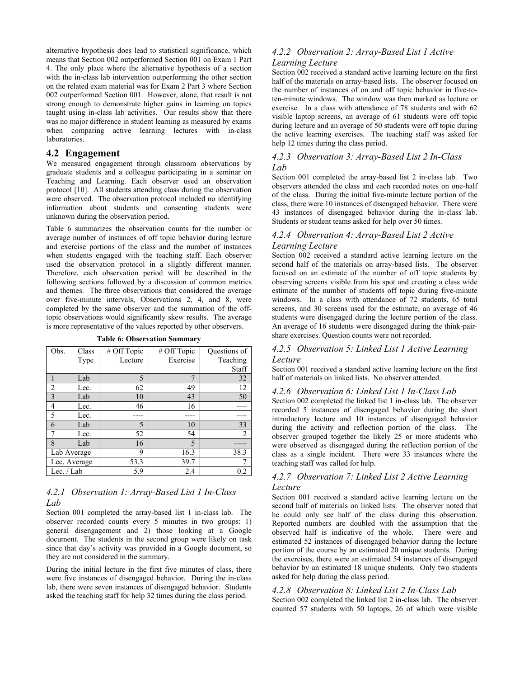alternative hypothesis does lead to statistical significance, which means that Section 002 outperformed Section 001 on Exam 1 Part 4. The only place where the alternative hypothesis of a section with the in-class lab intervention outperforming the other section on the related exam material was for Exam 2 Part 3 where Section 002 outperformed Section 001. However, alone, that result is not strong enough to demonstrate higher gains in learning on topics taught using in-class lab activities. Our results show that there was no major difference in student learning as measured by exams when comparing active learning lectures with in-class laboratories.

#### **4.2 Engagement**

We measured engagement through classroom observations by graduate students and a colleague participating in a seminar on Teaching and Learning. Each observer used an observation protocol [10]. All students attending class during the observation were observed. The observation protocol included no identifying information about students and consenting students were unknown during the observation period.

Table 6 summarizes the observation counts for the number or average number of instances of off topic behavior during lecture and exercise portions of the class and the number of instances when students engaged with the teaching staff. Each observer used the observation protocol in a slightly different manner. Therefore, each observation period will be described in the following sections followed by a discussion of common metrics and themes. The three observations that considered the average over five-minute intervals, Observations 2, 4, and 8, were completed by the same observer and the summation of the offtopic observations would significantly skew results. The average is more representative of the values reported by other observers.

| Obs.           | Class | # Off Topic | $\overline{\rm\#}$ Off Topic | Questions of   |
|----------------|-------|-------------|------------------------------|----------------|
|                | Type  | Lecture     | Exercise                     | Teaching       |
|                |       |             |                              | Staff          |
|                | Lab   | 5           | 7                            | 32             |
| $\overline{2}$ | Lec.  | 62          | 49                           | 12             |
| 3              | Lab   | 10          | 43                           | 50             |
| 4              | Lec.  | 46          | 16                           |                |
| 5              | Lec.  |             |                              |                |
| 6              | Lab   | 5           | 10                           | 33             |
| 7              | Lec.  | 52          | 54                           | $\overline{c}$ |
| 8              | Lab   | 16          | 5                            |                |
| Lab Average    |       | 9           | 16.3                         | 38.3           |
| Lec. Average   |       | 53.3        | 39.7                         | 7              |
| Lec. / Lab     |       | 5.9         | 2.4                          | 0.2            |

**Table 6: Observation Summary** 

## *4.2.1 Observation 1: Array-Based List 1 In-Class Lab*

Section 001 completed the array-based list 1 in-class lab. The observer recorded counts every 5 minutes in two groups: 1) general disengagement and 2) those looking at a Google document. The students in the second group were likely on task since that day's activity was provided in a Google document, so they are not considered in the summary.

During the initial lecture in the first five minutes of class, there were five instances of disengaged behavior. During the in-class lab, there were seven instances of disengaged behavior. Students asked the teaching staff for help 32 times during the class period.

#### *4.2.2 Observation 2: Array-Based List 1 Active Learning Lecture*

Section 002 received a standard active learning lecture on the first half of the materials on array-based lists. The observer focused on the number of instances of on and off topic behavior in five-toten-minute windows. The window was then marked as lecture or exercise. In a class with attendance of 78 students and with 62 visible laptop screens, an average of 61 students were off topic during lecture and an average of 50 students were off topic during the active learning exercises. The teaching staff was asked for help 12 times during the class period.

#### *4.2.3 Observation 3: Array-Based List 2 In-Class Lab*

Section 001 completed the array-based list 2 in-class lab. Two observers attended the class and each recorded notes on one-half of the class. During the initial five-minute lecture portion of the class, there were 10 instances of disengaged behavior. There were 43 instances of disengaged behavior during the in-class lab. Students or student teams asked for help over 50 times.

#### *4.2.4 Observation 4: Array-Based List 2 Active Learning Lecture*

Section 002 received a standard active learning lecture on the second half of the materials on array-based lists. The observer focused on an estimate of the number of off topic students by observing screens visible from his spot and creating a class wide estimate of the number of students off topic during five-minute windows. In a class with attendance of 72 students, 65 total screens, and 30 screens used for the estimate, an average of 46 students were disengaged during the lecture portion of the class. An average of 16 students were disengaged during the think-pairshare exercises. Question counts were not recorded.

## *4.2.5 Observation 5: Linked List 1 Active Learning Lecture*

Section 001 received a standard active learning lecture on the first half of materials on linked lists. No observer attended.

## *4.2.6 Observation 6: Linked List 1 In-Class Lab*

Section 002 completed the linked list 1 in-class lab. The observer recorded 5 instances of disengaged behavior during the short introductory lecture and 10 instances of disengaged behavior during the activity and reflection portion of the class. The observer grouped together the likely 25 or more students who were observed as disengaged during the reflection portion of the class as a single incident. There were 33 instances where the teaching staff was called for help.

#### *4.2.7 Observation 7: Linked List 2 Active Learning Lecture*

Section 001 received a standard active learning lecture on the second half of materials on linked lists. The observer noted that he could only see half of the class during this observation. Reported numbers are doubled with the assumption that the observed half is indicative of the whole. There were and estimated 52 instances of disengaged behavior during the lecture portion of the course by an estimated 20 unique students. During the exercises, there were an estimated 54 instances of disengaged behavior by an estimated 18 unique students. Only two students asked for help during the class period.

## *4.2.8 Observation 8: Linked List 2 In-Class Lab*

Section 002 completed the linked list 2 in-class lab. The observer counted 57 students with 50 laptops, 26 of which were visible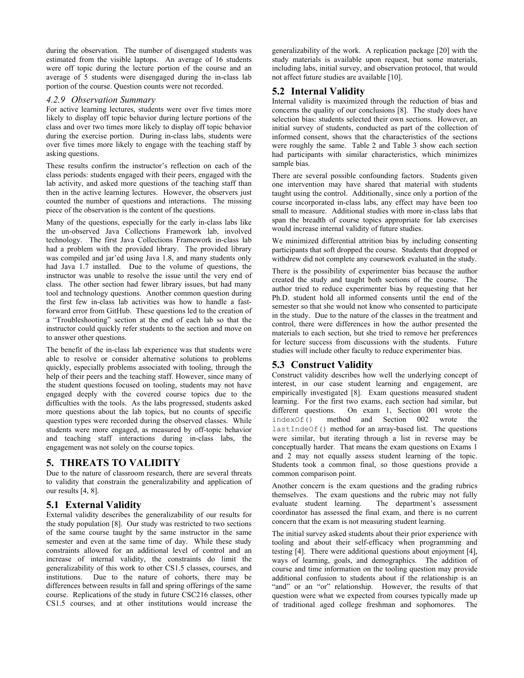during the observation. The number of disengaged students was estimated from the visible laptops. An average of 16 students were off topic during the lecture portion of the course and an average of 5 students were disengaged during the in-class lab portion of the course. Question counts were not recorded.

#### *4.2.9 Observation Summary*

For active learning lectures, students were over five times more likely to display off topic behavior during lecture portions of the class and over two times more likely to display off topic behavior during the exercise portion. During in-class labs, students were over five times more likely to engage with the teaching staff by asking questions.

These results confirm the instructor's reflection on each of the class periods: students engaged with their peers, engaged with the lab activity, and asked more questions of the teaching staff than then in the active learning lectures. However, the observers just counted the number of questions and interactions. The missing piece of the observation is the content of the questions.

Many of the questions, especially for the early in-class labs like the un-observed Java Collections Framework lab, involved technology. The first Java Collections Framework in-class lab had a problem with the provided library. The provided library was compiled and jar'ed using Java 1.8, and many students only had Java 1.7 installed. Due to the volume of questions, the instructor was unable to resolve the issue until the very end of class. The other section had fewer library issues, but had many tool and technology questions. Another common question during the first few in-class lab activities was how to handle a fastforward error from GitHub. These questions led to the creation of a "Troubleshooting" section at the end of each lab so that the instructor could quickly refer students to the section and move on to answer other questions.

The benefit of the in-class lab experience was that students were able to resolve or consider alternative solutions to problems quickly, especially problems associated with tooling, through the help of their peers and the teaching staff. However, since many of the student questions focused on tooling, students may not have engaged deeply with the covered course topics due to the difficulties with the tools. As the labs progressed, students asked more questions about the lab topics, but no counts of specific question types were recorded during the observed classes. While students were more engaged, as measured by off-topic behavior and teaching staff interactions during in-class labs, the engagement was not solely on the course topics.

## **5. THREATS TO VALIDITY**

Due to the nature of classroom research, there are several threats to validity that constrain the generalizability and application of our results [4, 8].

# **5.1 External Validity**

External validity describes the generalizability of our results for the study population [8]. Our study was restricted to two sections of the same course taught by the same instructor in the same semester and even at the same time of day. While these study constraints allowed for an additional level of control and an increase of internal validity, the constraints do limit the generalizability of this work to other CS1.5 classes, courses, and institutions. Due to the nature of cohorts, there may be differences between results in fall and spring offerings of the same course. Replications of the study in future CSC216 classes, other CS1.5 courses, and at other institutions would increase the

generalizability of the work. A replication package [20] with the study materials is available upon request, but some materials, including labs, initial survey, and observation protocol, that would not affect future studies are available [10].

# **5.2 Internal Validity**

Internal validity is maximized through the reduction of bias and concerns the quality of our conclusions [8]. The study does have selection bias: students selected their own sections. However, an initial survey of students, conducted as part of the collection of informed consent, shows that the characteristics of the sections were roughly the same. Table 2 and Table 3 show each section had participants with similar characteristics, which minimizes sample bias.

There are several possible confounding factors. Students given one intervention may have shared that material with students taught using the control. Additionally, since only a portion of the course incorporated in-class labs, any effect may have been too small to measure. Additional studies with more in-class labs that span the breadth of course topics appropriate for lab exercises would increase internal validity of future studies.

We minimized differential attrition bias by including consenting participants that soft dropped the course. Students that dropped or withdrew did not complete any coursework evaluated in the study.

There is the possibility of experimenter bias because the author created the study and taught both sections of the course. The author tried to reduce experimenter bias by requesting that her Ph.D. student hold all informed consents until the end of the semester so that she would not know who consented to participate in the study. Due to the nature of the classes in the treatment and control, there were differences in how the author presented the materials to each section, but she tried to remove her preferences for lecture success from discussions with the students. Future studies will include other faculty to reduce experimenter bias.

# **5.3 Construct Validity**

Construct validity describes how well the underlying concept of interest, in our case student learning and engagement, are empirically investigated [8]. Exam questions measured student learning. For the first two exams, each section had similar, but different questions. On exam 1, Section 001 wrote the indexOf() method and Section 002 wrote the lastIndeOf() method for an array-based list. The questions were similar, but iterating through a list in reverse may be conceptually harder. That means the exam questions on Exams 1 and 2 may not equally assess student learning of the topic. Students took a common final, so those questions provide a common comparison point.

Another concern is the exam questions and the grading rubrics themselves. The exam questions and the rubric may not fully evaluate student learning. The department's assessment coordinator has assessed the final exam, and there is no current concern that the exam is not measuring student learning.

The initial survey asked students about their prior experience with tooling and about their self-efficacy when programming and testing [4]. There were additional questions about enjoyment [4], ways of learning, goals, and demographics. The addition of course and time information on the tooling question may provide additional confusion to students about if the relationship is an "and" or an "or" relationship. However, the results of that question were what we expected from courses typically made up of traditional aged college freshman and sophomores. The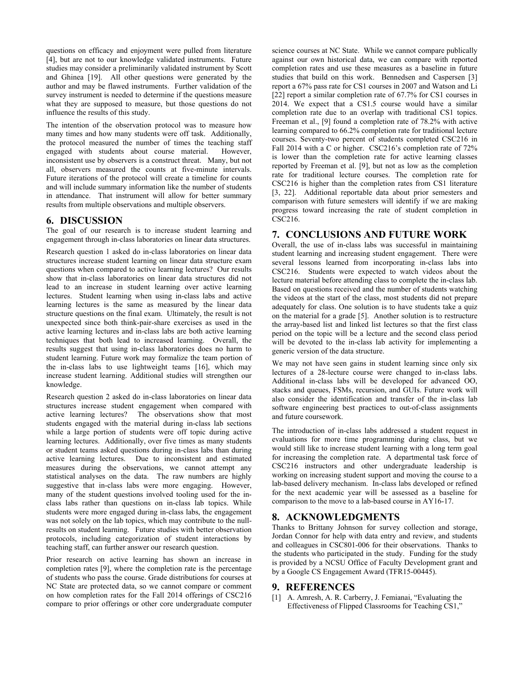questions on efficacy and enjoyment were pulled from literature [4], but are not to our knowledge validated instruments. Future studies may consider a preliminarily validated instrument by Scott and Ghinea [19]. All other questions were generated by the author and may be flawed instruments. Further validation of the survey instrument is needed to determine if the questions measure what they are supposed to measure, but those questions do not influence the results of this study.

The intention of the observation protocol was to measure how many times and how many students were off task. Additionally, the protocol measured the number of times the teaching staff engaged with students about course material. However, inconsistent use by observers is a construct threat. Many, but not all, observers measured the counts at five-minute intervals. Future iterations of the protocol will create a timeline for counts and will include summary information like the number of students in attendance. That instrument will allow for better summary results from multiple observations and multiple observers.

## **6. DISCUSSION**

The goal of our research is to increase student learning and engagement through in-class laboratories on linear data structures.

Research question 1 asked do in-class laboratories on linear data structures increase student learning on linear data structure exam questions when compared to active learning lectures? Our results show that in-class laboratories on linear data structures did not lead to an increase in student learning over active learning lectures. Student learning when using in-class labs and active learning lectures is the same as measured by the linear data structure questions on the final exam. Ultimately, the result is not unexpected since both think-pair-share exercises as used in the active learning lectures and in-class labs are both active learning techniques that both lead to increased learning. Overall, the results suggest that using in-class laboratories does no harm to student learning. Future work may formalize the team portion of the in-class labs to use lightweight teams [16], which may increase student learning. Additional studies will strengthen our knowledge.

Research question 2 asked do in-class laboratories on linear data structures increase student engagement when compared with active learning lectures? The observations show that most students engaged with the material during in-class lab sections while a large portion of students were off topic during active learning lectures. Additionally, over five times as many students or student teams asked questions during in-class labs than during active learning lectures. Due to inconsistent and estimated measures during the observations, we cannot attempt any statistical analyses on the data. The raw numbers are highly suggestive that in-class labs were more engaging. However, many of the student questions involved tooling used for the inclass labs rather than questions on in-class lab topics. While students were more engaged during in-class labs, the engagement was not solely on the lab topics, which may contribute to the nullresults on student learning. Future studies with better observation protocols, including categorization of student interactions by teaching staff, can further answer our research question.

Prior research on active learning has shown an increase in completion rates [9], where the completion rate is the percentage of students who pass the course. Grade distributions for courses at NC State are protected data, so we cannot compare or comment on how completion rates for the Fall 2014 offerings of CSC216 compare to prior offerings or other core undergraduate computer science courses at NC State. While we cannot compare publically against our own historical data, we can compare with reported completion rates and use these measures as a baseline in future studies that build on this work. Bennedsen and Caspersen [3] report a 67% pass rate for CS1 courses in 2007 and Watson and Li [22] report a similar completion rate of 67.7% for CS1 courses in 2014. We expect that a CS1.5 course would have a similar completion rate due to an overlap with traditional CS1 topics. Freeman et al., [9] found a completion rate of 78.2% with active learning compared to 66.2% completion rate for traditional lecture courses. Seventy-two percent of students completed CSC216 in Fall 2014 with a C or higher. CSC216's completion rate of 72% is lower than the completion rate for active learning classes reported by Freeman et al. [9], but not as low as the completion rate for traditional lecture courses. The completion rate for CSC216 is higher than the completion rates from CS1 literature [3, 22]. Additional reportable data about prior semesters and comparison with future semesters will identify if we are making progress toward increasing the rate of student completion in CSC216.

## **7. CONCLUSIONS AND FUTURE WORK**

Overall, the use of in-class labs was successful in maintaining student learning and increasing student engagement. There were several lessons learned from incorporating in-class labs into CSC216. Students were expected to watch videos about the lecture material before attending class to complete the in-class lab. Based on questions received and the number of students watching the videos at the start of the class, most students did not prepare adequately for class. One solution is to have students take a quiz on the material for a grade [5]. Another solution is to restructure the array-based list and linked list lectures so that the first class period on the topic will be a lecture and the second class period will be devoted to the in-class lab activity for implementing a generic version of the data structure.

We may not have seen gains in student learning since only six lectures of a 28-lecture course were changed to in-class labs. Additional in-class labs will be developed for advanced OO, stacks and queues, FSMs, recursion, and GUIs. Future work will also consider the identification and transfer of the in-class lab software engineering best practices to out-of-class assignments and future coursework.

The introduction of in-class labs addressed a student request in evaluations for more time programming during class, but we would still like to increase student learning with a long term goal for increasing the completion rate. A departmental task force of CSC216 instructors and other undergraduate leadership is working on increasing student support and moving the course to a lab-based delivery mechanism. In-class labs developed or refined for the next academic year will be assessed as a baseline for comparison to the move to a lab-based course in AY16-17.

#### **8. ACKNOWLEDGMENTS**

Thanks to Brittany Johnson for survey collection and storage, Jordan Connor for help with data entry and review, and students and colleagues in CSC801-006 for their observations. Thanks to the students who participated in the study. Funding for the study is provided by a NCSU Office of Faculty Development grant and by a Google CS Engagement Award (TFR15-00445).

#### **9. REFERENCES**

[1] A. Amresh, A. R. Carberry, J. Femianai, "Evaluating the Effectiveness of Flipped Classrooms for Teaching CS1,"